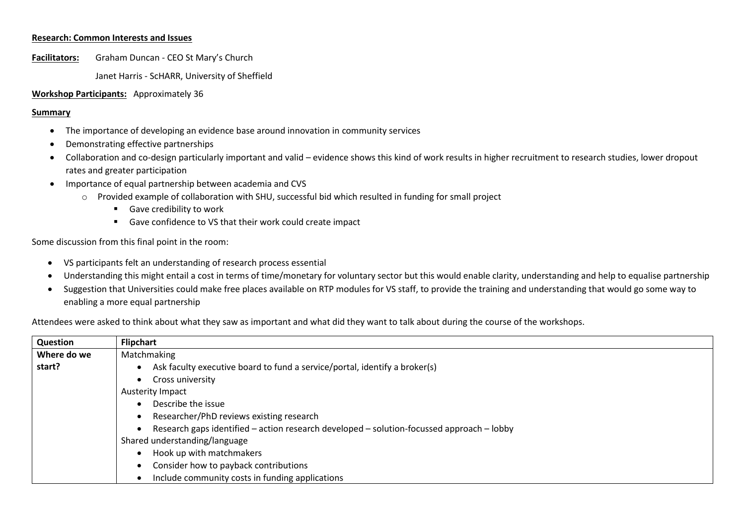## **Research: Common Interests and Issues**

**Facilitators:** Graham Duncan - CEO St Mary's Church

Janet Harris - ScHARR, University of Sheffield

#### **Workshop Participants:** Approximately 36

#### **Summary**

- The importance of developing an evidence base around innovation in community services
- Demonstrating effective partnerships
- Collaboration and co-design particularly important and valid evidence shows this kind of work results in higher recruitment to research studies, lower dropout rates and greater participation
- Importance of equal partnership between academia and CVS
	- o Provided example of collaboration with SHU, successful bid which resulted in funding for small project
		- **Gave credibility to work**
		- Gave confidence to VS that their work could create impact

Some discussion from this final point in the room:

- VS participants felt an understanding of research process essential
- Understanding this might entail a cost in terms of time/monetary for voluntary sector but this would enable clarity, understanding and help to equalise partnership
- Suggestion that Universities could make free places available on RTP modules for VS staff, to provide the training and understanding that would go some way to enabling a more equal partnership

Attendees were asked to think about what they saw as important and what did they want to talk about during the course of the workshops.

| Question    | <b>Flipchart</b>                                                                          |
|-------------|-------------------------------------------------------------------------------------------|
| Where do we | Matchmaking                                                                               |
| start?      | Ask faculty executive board to fund a service/portal, identify a broker(s)                |
|             | Cross university                                                                          |
|             | <b>Austerity Impact</b>                                                                   |
|             | Describe the issue                                                                        |
|             | Researcher/PhD reviews existing research                                                  |
|             | Research gaps identified - action research developed - solution-focussed approach - lobby |
|             | Shared understanding/language                                                             |
|             | Hook up with matchmakers                                                                  |
|             | Consider how to payback contributions                                                     |
|             | Include community costs in funding applications                                           |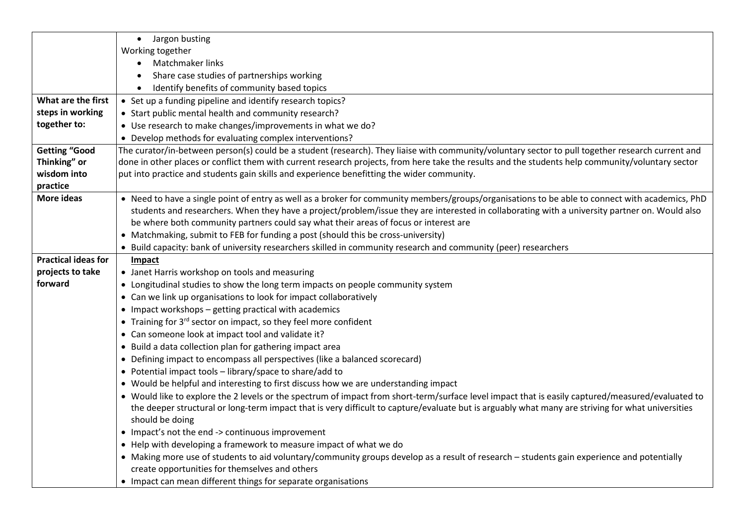|                            | • Jargon busting                                                                                                                                  |
|----------------------------|---------------------------------------------------------------------------------------------------------------------------------------------------|
|                            | Working together                                                                                                                                  |
|                            | Matchmaker links                                                                                                                                  |
|                            | Share case studies of partnerships working                                                                                                        |
|                            | Identify benefits of community based topics                                                                                                       |
| What are the first         | • Set up a funding pipeline and identify research topics?                                                                                         |
| steps in working           | • Start public mental health and community research?                                                                                              |
| together to:               | • Use research to make changes/improvements in what we do?                                                                                        |
|                            | • Develop methods for evaluating complex interventions?                                                                                           |
| <b>Getting "Good</b>       | The curator/in-between person(s) could be a student (research). They liaise with community/voluntary sector to pull together research current and |
| Thinking" or               | done in other places or conflict them with current research projects, from here take the results and the students help community/voluntary sector |
| wisdom into                | put into practice and students gain skills and experience benefitting the wider community.                                                        |
| practice                   |                                                                                                                                                   |
| <b>More ideas</b>          | • Need to have a single point of entry as well as a broker for community members/groups/organisations to be able to connect with academics, PhD   |
|                            | students and researchers. When they have a project/problem/issue they are interested in collaborating with a university partner on. Would also    |
|                            | be where both community partners could say what their areas of focus or interest are                                                              |
|                            | • Matchmaking, submit to FEB for funding a post (should this be cross-university)                                                                 |
|                            | • Build capacity: bank of university researchers skilled in community research and community (peer) researchers                                   |
| <b>Practical ideas for</b> | Impact                                                                                                                                            |
| projects to take           | • Janet Harris workshop on tools and measuring                                                                                                    |
| forward                    | • Longitudinal studies to show the long term impacts on people community system                                                                   |
|                            | • Can we link up organisations to look for impact collaboratively                                                                                 |
|                            | • Impact workshops - getting practical with academics                                                                                             |
|                            | • Training for 3rd sector on impact, so they feel more confident                                                                                  |
|                            | • Can someone look at impact tool and validate it?                                                                                                |
|                            | • Build a data collection plan for gathering impact area                                                                                          |
|                            | • Defining impact to encompass all perspectives (like a balanced scorecard)                                                                       |
|                            | • Potential impact tools - library/space to share/add to                                                                                          |
|                            | • Would be helpful and interesting to first discuss how we are understanding impact                                                               |
|                            | • Would like to explore the 2 levels or the spectrum of impact from short-term/surface level impact that is easily captured/measured/evaluated to |
|                            | the deeper structural or long-term impact that is very difficult to capture/evaluate but is arguably what many are striving for what universities |
|                            | should be doing                                                                                                                                   |
|                            | • Impact's not the end -> continuous improvement                                                                                                  |
|                            | • Help with developing a framework to measure impact of what we do                                                                                |
|                            | • Making more use of students to aid voluntary/community groups develop as a result of research – students gain experience and potentially        |
|                            | create opportunities for themselves and others                                                                                                    |
|                            | • Impact can mean different things for separate organisations                                                                                     |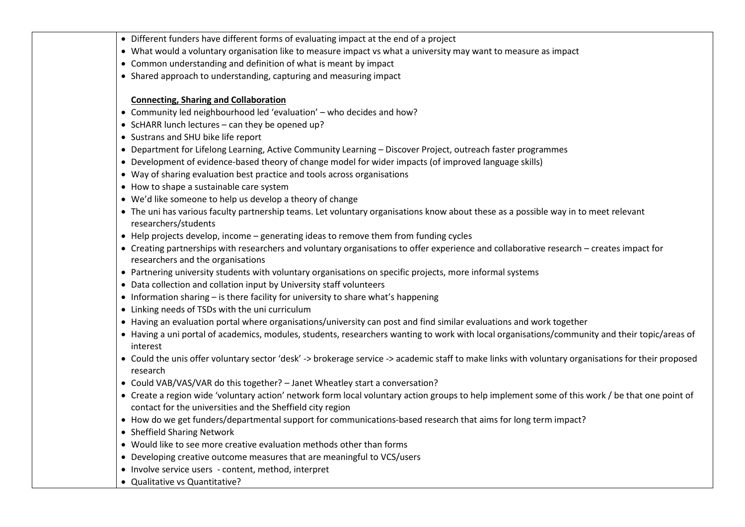- Different funders have different forms of evaluating impact at the end of a project
- What would a voluntary organisation like to measure impact vs what a university may want to measure as impact
- Common understanding and definition of what is meant by impact
- Shared approach to understanding, capturing and measuring impact

# **Connecting, Sharing and Collaboration**

- Community led neighbourhood led 'evaluation' who decides and how?
- $\bullet$  ScHARR lunch lectures can they be opened up?
- Sustrans and SHU bike life report
- Department for Lifelong Learning, Active Community Learning Discover Project, outreach faster programmes
- Development of evidence-based theory of change model for wider impacts (of improved language skills)
- Way of sharing evaluation best practice and tools across organisations
- How to shape a sustainable care system
- We'd like someone to help us develop a theory of change
- The uni has various faculty partnership teams. Let voluntary organisations know about these as a possible way in to meet relevant researchers/students
- Help projects develop, income generating ideas to remove them from funding cycles
- Creating partnerships with researchers and voluntary organisations to offer experience and collaborative research creates impact for researchers and the organisations
- Partnering university students with voluntary organisations on specific projects, more informal systems
- Data collection and collation input by University staff volunteers
- $\bullet$  Information sharing is there facility for university to share what's happening
- Linking needs of TSDs with the uni curriculum
- Having an evaluation portal where organisations/university can post and find similar evaluations and work together
- Having a uni portal of academics, modules, students, researchers wanting to work with local organisations/community and their topic/areas of interest
- Could the unis offer voluntary sector 'desk' -> brokerage service -> academic staff to make links with voluntary organisations for their proposed research
- Could VAB/VAS/VAR do this together? Janet Wheatley start a conversation?
- Create a region wide 'voluntary action' network form local voluntary action groups to help implement some of this work / be that one point of contact for the universities and the Sheffield city region
- How do we get funders/departmental support for communications-based research that aims for long term impact?
- Sheffield Sharing Network
- Would like to see more creative evaluation methods other than forms
- Developing creative outcome measures that are meaningful to VCS/users
- Involve service users content, method, interpret
- Qualitative vs Quantitative?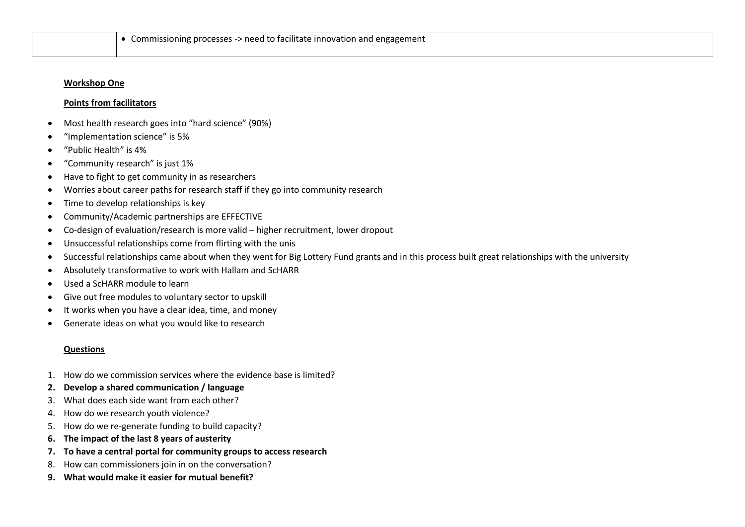#### **Workshop One**

## **Points from facilitators**

- Most health research goes into "hard science" (90%)
- "Implementation science" is 5%
- "Public Health" is 4%
- "Community research" is just 1%
- Have to fight to get community in as researchers
- Worries about career paths for research staff if they go into community research
- Time to develop relationships is key
- Community/Academic partnerships are EFFECTIVE
- Co-design of evaluation/research is more valid higher recruitment, lower dropout
- Unsuccessful relationships come from flirting with the unis
- Successful relationships came about when they went for Big Lottery Fund grants and in this process built great relationships with the university
- Absolutely transformative to work with Hallam and ScHARR
- Used a ScHARR module to learn
- Give out free modules to voluntary sector to upskill
- It works when you have a clear idea, time, and money
- Generate ideas on what you would like to research

#### **Questions**

- 1. How do we commission services where the evidence base is limited?
- **2. Develop a shared communication / language**
- 3. What does each side want from each other?
- 4. How do we research youth violence?
- 5. How do we re-generate funding to build capacity?
- **6. The impact of the last 8 years of austerity**
- **7. To have a central portal for community groups to access research**
- 8. How can commissioners join in on the conversation?
- **9. What would make it easier for mutual benefit?**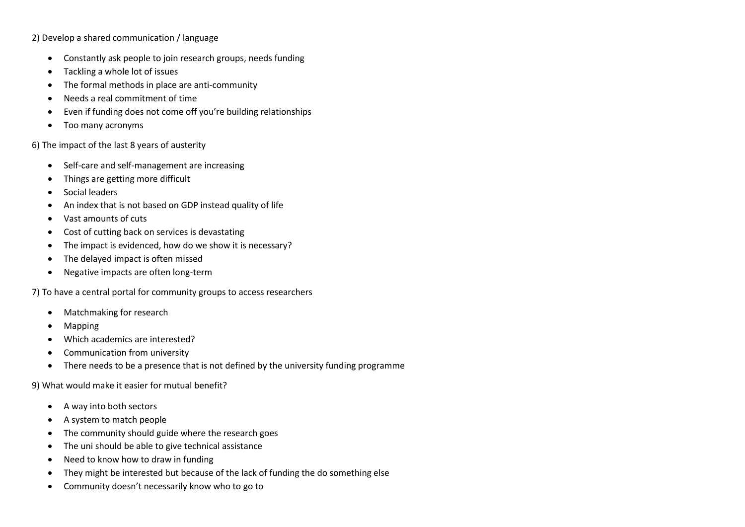2) Develop a shared communication / language

- Constantly ask people to join research groups, needs funding
- Tackling a whole lot of issues
- The formal methods in place are anti-community
- Needs a real commitment of time
- Even if funding does not come off you're building relationships
- Too many acronyms

6) The impact of the last 8 years of austerity

- Self-care and self-management are increasing
- Things are getting more difficult
- Social leaders
- An index that is not based on GDP instead quality of life
- Vast amounts of cuts
- Cost of cutting back on services is devastating
- The impact is evidenced, how do we show it is necessary?
- The delayed impact is often missed
- Negative impacts are often long-term

7) To have a central portal for community groups to access researchers

- Matchmaking for research
- Mapping
- Which academics are interested?
- Communication from university
- There needs to be a presence that is not defined by the university funding programme

9) What would make it easier for mutual benefit?

- A way into both sectors
- A system to match people
- The community should guide where the research goes
- The uni should be able to give technical assistance
- Need to know how to draw in funding
- They might be interested but because of the lack of funding the do something else
- Community doesn't necessarily know who to go to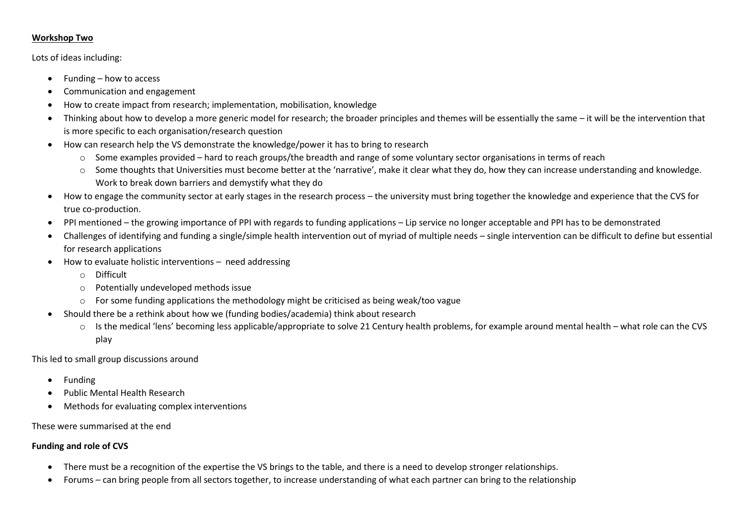# **Workshop Two**

# Lots of ideas including:

- Funding how to access
- Communication and engagement
- How to create impact from research; implementation, mobilisation, knowledge
- Thinking about how to develop a more generic model for research; the broader principles and themes will be essentially the same it will be the intervention that is more specific to each organisation/research question
- How can research help the VS demonstrate the knowledge/power it has to bring to research
	- o Some examples provided hard to reach groups/the breadth and range of some voluntary sector organisations in terms of reach
	- o Some thoughts that Universities must become better at the 'narrative', make it clear what they do, how they can increase understanding and knowledge. Work to break down barriers and demystify what they do
- How to engage the community sector at early stages in the research process the university must bring together the knowledge and experience that the CVS for true co-production.
- PPI mentioned the growing importance of PPI with regards to funding applications Lip service no longer acceptable and PPI has to be demonstrated
- Challenges of identifying and funding a single/simple health intervention out of myriad of multiple needs single intervention can be difficult to define but essential for research applications
- How to evaluate holistic interventions need addressing
	- o Difficult
	- o Potentially undeveloped methods issue
	- $\circ$  For some funding applications the methodology might be criticised as being weak/too vague
- Should there be a rethink about how we (funding bodies/academia) think about research
	- o Is the medical 'lens' becoming less applicable/appropriate to solve 21 Century health problems, for example around mental health what role can the CVS play

This led to small group discussions around

- Funding
- Public Mental Health Research
- Methods for evaluating complex interventions

These were summarised at the end

# **Funding and role of CVS**

- There must be a recognition of the expertise the VS brings to the table, and there is a need to develop stronger relationships.
- Forums can bring people from all sectors together, to increase understanding of what each partner can bring to the relationship